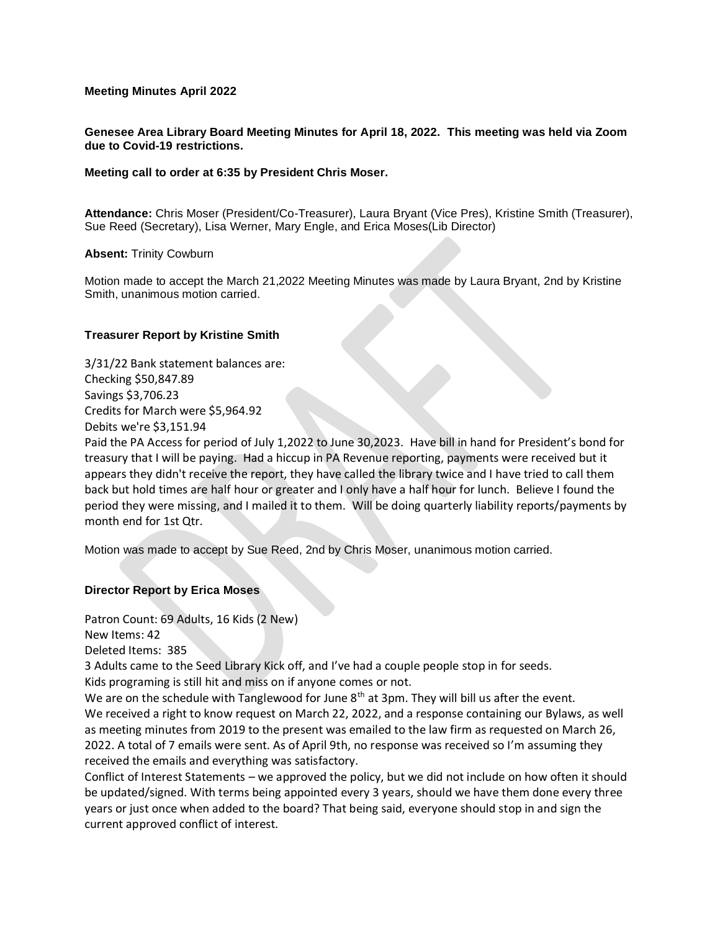## **Meeting Minutes April 2022**

**Genesee Area Library Board Meeting Minutes for April 18, 2022. This meeting was held via Zoom due to Covid-19 restrictions.**

#### **Meeting call to order at 6:35 by President Chris Moser.**

**Attendance:** Chris Moser (President/Co-Treasurer), Laura Bryant (Vice Pres), Kristine Smith (Treasurer), Sue Reed (Secretary), Lisa Werner, Mary Engle, and Erica Moses(Lib Director)

#### **Absent:** Trinity Cowburn

Motion made to accept the March 21,2022 Meeting Minutes was made by Laura Bryant, 2nd by Kristine Smith, unanimous motion carried.

#### **Treasurer Report by Kristine Smith**

3/31/22 Bank statement balances are: Checking \$50,847.89 Savings \$3,706.23 Credits for March were \$5,964.92 Debits we're \$3,151.94

Paid the PA Access for period of July 1,2022 to June 30,2023. Have bill in hand for President's bond for treasury that I will be paying. Had a hiccup in PA Revenue reporting, payments were received but it appears they didn't receive the report, they have called the library twice and I have tried to call them back but hold times are half hour or greater and I only have a half hour for lunch. Believe I found the period they were missing, and I mailed it to them. Will be doing quarterly liability reports/payments by month end for 1st Qtr.

Motion was made to accept by Sue Reed, 2nd by Chris Moser, unanimous motion carried.

## **Director Report by Erica Moses**

Patron Count: 69 Adults, 16 Kids (2 New)

New Items: 42

Deleted Items: 385

3 Adults came to the Seed Library Kick off, and I've had a couple people stop in for seeds. Kids programing is still hit and miss on if anyone comes or not.

We are on the schedule with Tanglewood for June 8<sup>th</sup> at 3pm. They will bill us after the event. We received a right to know request on March 22, 2022, and a response containing our Bylaws, as well as meeting minutes from 2019 to the present was emailed to the law firm as requested on March 26, 2022. A total of 7 emails were sent. As of April 9th, no response was received so I'm assuming they received the emails and everything was satisfactory.

Conflict of Interest Statements – we approved the policy, but we did not include on how often it should be updated/signed. With terms being appointed every 3 years, should we have them done every three years or just once when added to the board? That being said, everyone should stop in and sign the current approved conflict of interest.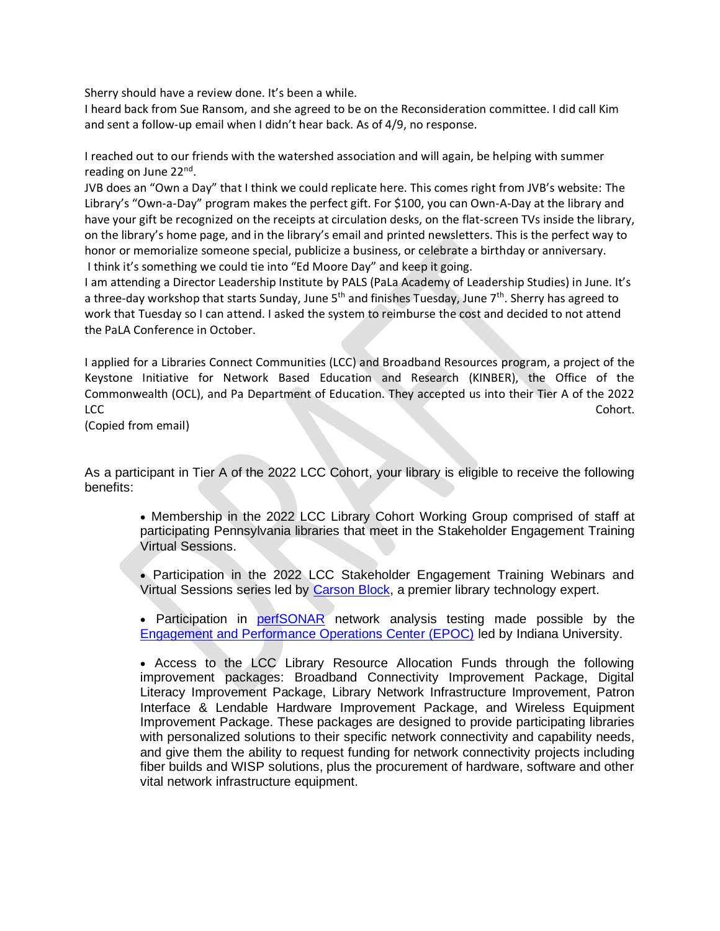Sherry should have a review done. It's been a while.

I heard back from Sue Ransom, and she agreed to be on the Reconsideration committee. I did call Kim and sent a follow-up email when I didn't hear back. As of 4/9, no response.

I reached out to our friends with the watershed association and will again, be helping with summer reading on June 22<sup>nd</sup>.

JVB does an "Own a Day" that I think we could replicate here. This comes right from JVB's website: The Library's "Own-a-Day" program makes the perfect gift. For \$100, you can Own-A-Day at the library and have your gift be recognized on the receipts at circulation desks, on the flat-screen TVs inside the library, on the library's home page, and in the library's email and printed newsletters. This is the perfect way to honor or memorialize someone special, publicize a business, or celebrate a birthday or anniversary. I think it's something we could tie into "Ed Moore Day" and keep it going.

I am attending a Director Leadership Institute by PALS (PaLa Academy of Leadership Studies) in June. It's a three-day workshop that starts Sunday, June 5<sup>th</sup> and finishes Tuesday, June 7<sup>th</sup>. Sherry has agreed to work that Tuesday so I can attend. I asked the system to reimburse the cost and decided to not attend the PaLA Conference in October.

I applied for a Libraries Connect Communities (LCC) and Broadband Resources program, a project of the Keystone Initiative for Network Based Education and Research (KINBER), the Office of the Commonwealth (OCL), and Pa Department of Education. They accepted us into their Tier A of the 2022 LCC Cohort.

(Copied from email)

As a participant in Tier A of the 2022 LCC Cohort, your library is eligible to receive the following benefits:

• Membership in the 2022 LCC Library Cohort Working Group comprised of staff at participating Pennsylvania libraries that meet in the Stakeholder Engagement Training Virtual Sessions.

• Participation in the 2022 LCC Stakeholder Engagement Training Webinars and Virtual Sessions series led by [Carson Block,](https://carsonblock.com/) a premier library technology expert.

• Participation in **[perfSONAR](https://www.perfsonar.net/)** network analysis testing made possible by the [Engagement and Performance Operations Center \(EPOC\)](https://epoc.global/) led by Indiana University.

• Access to the LCC Library Resource Allocation Funds through the following improvement packages: Broadband Connectivity Improvement Package, Digital Literacy Improvement Package, Library Network Infrastructure Improvement, Patron Interface & Lendable Hardware Improvement Package, and Wireless Equipment Improvement Package. These packages are designed to provide participating libraries with personalized solutions to their specific network connectivity and capability needs, and give them the ability to request funding for network connectivity projects including fiber builds and WISP solutions, plus the procurement of hardware, software and other vital network infrastructure equipment.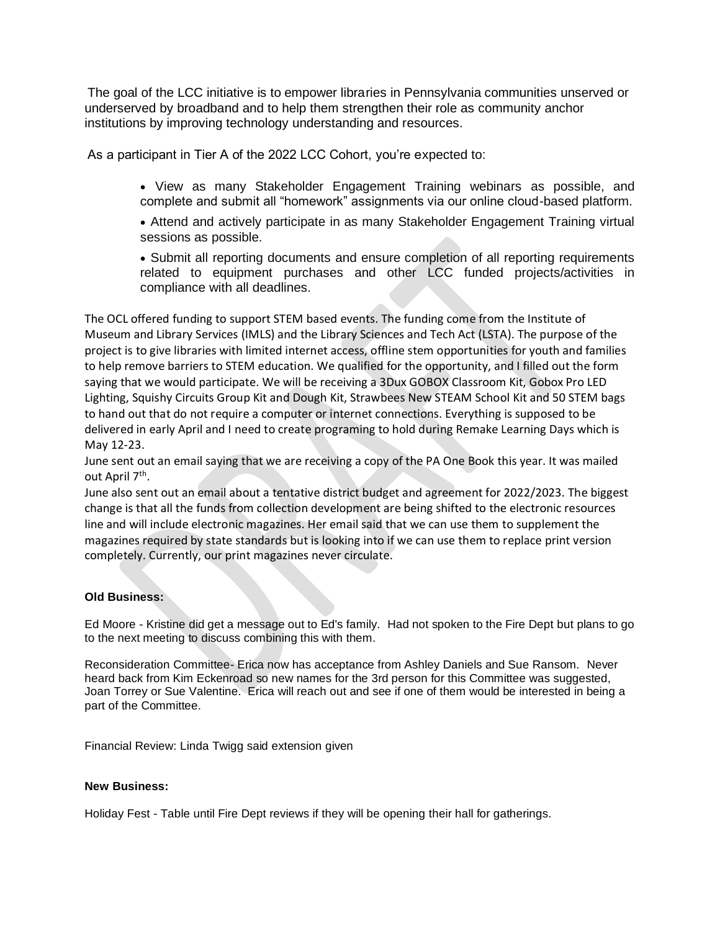The goal of the LCC initiative is to empower libraries in Pennsylvania communities unserved or underserved by broadband and to help them strengthen their role as community anchor institutions by improving technology understanding and resources.

As a participant in Tier A of the 2022 LCC Cohort, you're expected to:

- View as many Stakeholder Engagement Training webinars as possible, and complete and submit all "homework" assignments via our online cloud-based platform.
- Attend and actively participate in as many Stakeholder Engagement Training virtual sessions as possible.
- Submit all reporting documents and ensure completion of all reporting requirements related to equipment purchases and other LCC funded projects/activities in compliance with all deadlines.

The OCL offered funding to support STEM based events. The funding come from the Institute of Museum and Library Services (IMLS) and the Library Sciences and Tech Act (LSTA). The purpose of the project is to give libraries with limited internet access, offline stem opportunities for youth and families to help remove barriers to STEM education. We qualified for the opportunity, and I filled out the form saying that we would participate. We will be receiving a 3Dux GOBOX Classroom Kit, Gobox Pro LED Lighting, Squishy Circuits Group Kit and Dough Kit, Strawbees New STEAM School Kit and 50 STEM bags to hand out that do not require a computer or internet connections. Everything is supposed to be delivered in early April and I need to create programing to hold during Remake Learning Days which is May 12-23.

June sent out an email saying that we are receiving a copy of the PA One Book this year. It was mailed out April 7<sup>th</sup>.

June also sent out an email about a tentative district budget and agreement for 2022/2023. The biggest change is that all the funds from collection development are being shifted to the electronic resources line and will include electronic magazines. Her email said that we can use them to supplement the magazines required by state standards but is looking into if we can use them to replace print version completely. Currently, our print magazines never circulate.

# **Old Business:**

Ed Moore - Kristine did get a message out to Ed's family. Had not spoken to the Fire Dept but plans to go to the next meeting to discuss combining this with them.

Reconsideration Committee- Erica now has acceptance from Ashley Daniels and Sue Ransom. Never heard back from Kim Eckenroad so new names for the 3rd person for this Committee was suggested, Joan Torrey or Sue Valentine. Erica will reach out and see if one of them would be interested in being a part of the Committee.

Financial Review: Linda Twigg said extension given

### **New Business:**

Holiday Fest - Table until Fire Dept reviews if they will be opening their hall for gatherings.